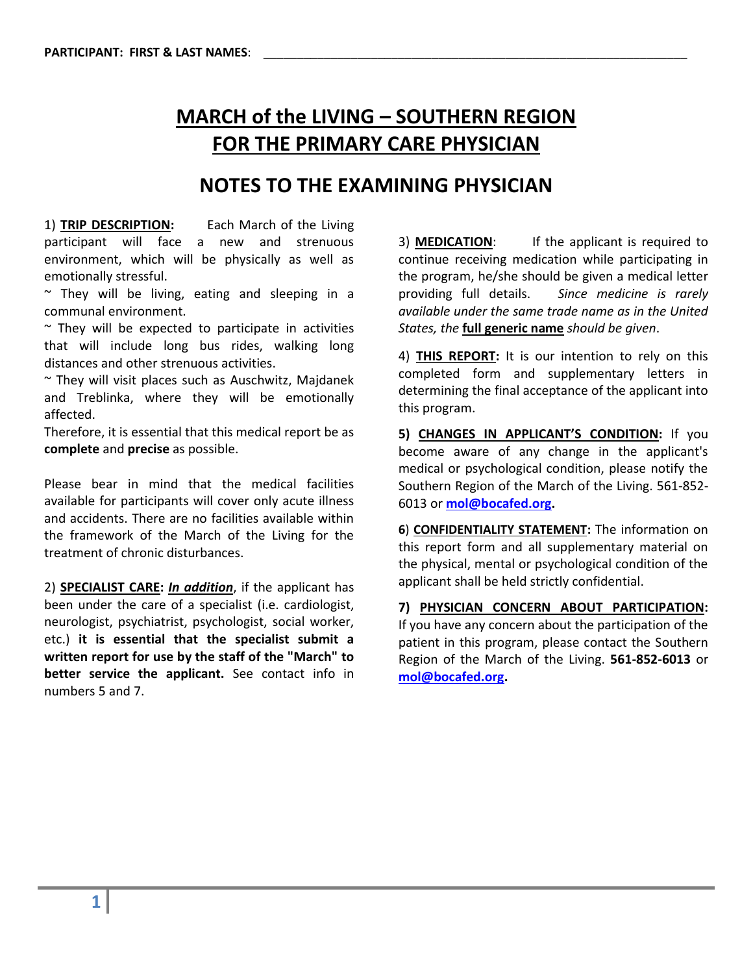## **MARCH of the LIVING – SOUTHERN REGION FOR THE PRIMARY CARE PHYSICIAN**

## **NOTES TO THE EXAMINING PHYSICIAN**

1) **TRIP DESCRIPTION:** Each March of the Living participant will face a new and strenuous environment, which will be physically as well as emotionally stressful.

 $\sim$  They will be living, eating and sleeping in a communal environment.

 $\sim$  They will be expected to participate in activities that will include long bus rides, walking long distances and other strenuous activities.

~ They will visit places such as Auschwitz, Majdanek and Treblinka, where they will be emotionally affected.

Therefore, it is essential that this medical report be as **complete** and **precise** as possible.

Please bear in mind that the medical facilities available for participants will cover only acute illness and accidents. There are no facilities available within the framework of the March of the Living for the treatment of chronic disturbances.

2) **SPECIALIST CARE:** *In addition*, if the applicant has been under the care of a specialist (i.e. cardiologist, neurologist, psychiatrist, psychologist, social worker, etc.) **it is essential that the specialist submit a written report for use by the staff of the "March" to better service the applicant.** See contact info in numbers 5 and 7.

3) **MEDICATION**: If the applicant is required to continue receiving medication while participating in the program, he/she should be given a medical letter providing full details. *Since medicine is rarely available under the same trade name as in the United States, the* **full generic name** *should be given*.

4) **THIS REPORT:** It is our intention to rely on this completed form and supplementary letters in determining the final acceptance of the applicant into this program.

**5) CHANGES IN APPLICANT'S CONDITION:** If you become aware of any change in the applicant's medical or psychological condition, please notify the Southern Region of the March of the Living. 561-852- 6013 or **[mol@bocafed.org.](mailto:mol@bocafed.org)**

**6**) **CONFIDENTIALITY STATEMENT:** The information on this report form and all supplementary material on the physical, mental or psychological condition of the applicant shall be held strictly confidential.

**7) PHYSICIAN CONCERN ABOUT PARTICIPATION:**  If you have any concern about the participation of the patient in this program, please contact the Southern Region of the March of the Living. **561-852-6013** or **[mol@bocafed.org.](mailto:mol@bocafed.org)**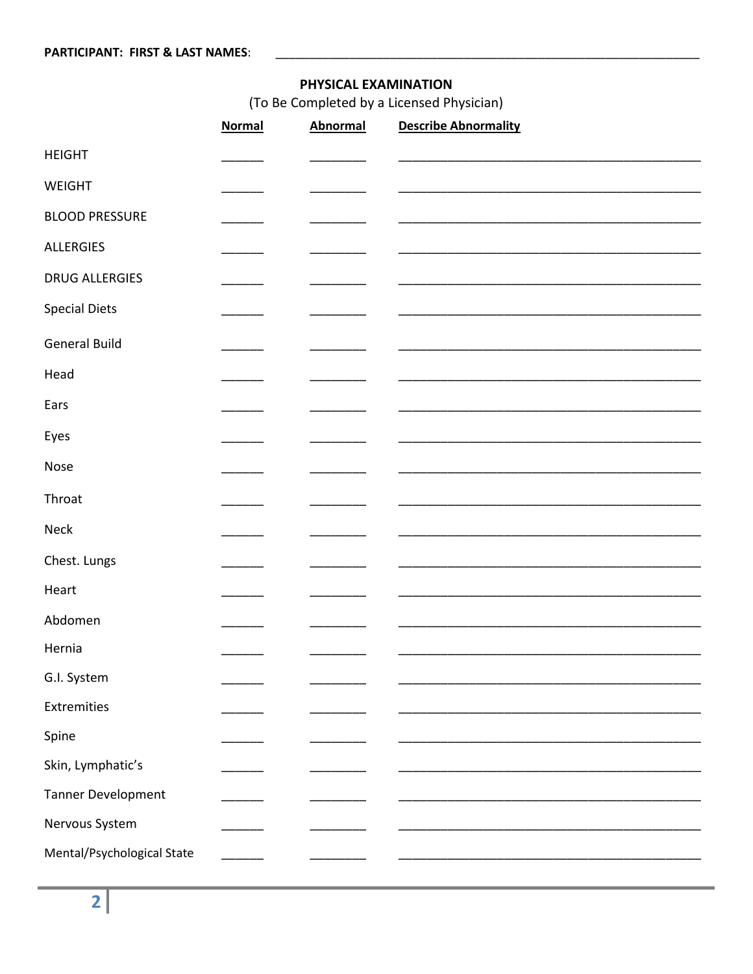## PHYSICAL EXAMINATION

(To Be Completed by a Licensed Physician)

|                            | <b>Normal</b> | <b>Abnormal</b> | <b>Describe Abnormality</b> |
|----------------------------|---------------|-----------------|-----------------------------|
| <b>HEIGHT</b>              |               |                 |                             |
| WEIGHT                     |               |                 |                             |
| <b>BLOOD PRESSURE</b>      |               |                 |                             |
| <b>ALLERGIES</b>           |               |                 |                             |
| <b>DRUG ALLERGIES</b>      | ____          |                 |                             |
| <b>Special Diets</b>       |               |                 |                             |
| <b>General Build</b>       |               |                 |                             |
| Head                       |               |                 |                             |
| Ears                       |               |                 |                             |
| Eyes                       |               |                 |                             |
| Nose                       |               |                 |                             |
| Throat                     |               |                 |                             |
| <b>Neck</b>                |               |                 |                             |
| Chest. Lungs               |               |                 |                             |
| Heart                      |               |                 |                             |
| Abdomen                    |               |                 |                             |
| Hernia                     |               |                 |                             |
| G.I. System                |               |                 |                             |
| Extremities                |               |                 |                             |
| Spine                      |               |                 |                             |
| Skin, Lymphatic's          |               |                 |                             |
| Tanner Development         |               |                 |                             |
| Nervous System             |               |                 |                             |
| Mental/Psychological State |               |                 |                             |
|                            |               |                 |                             |